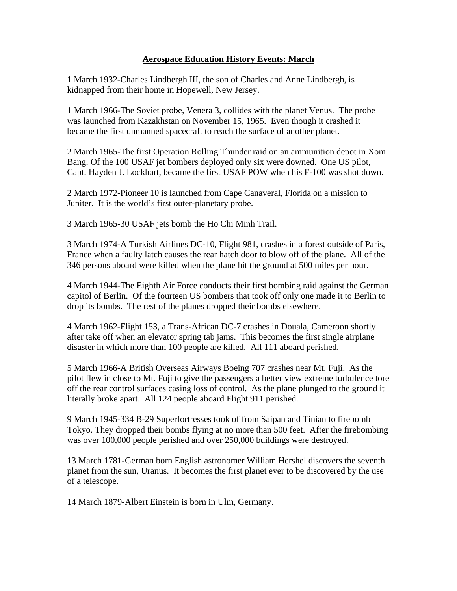## **Aerospace Education History Events: March**

1 March 1932-Charles Lindbergh III, the son of Charles and Anne Lindbergh, is kidnapped from their home in Hopewell, New Jersey.

1 March 1966-The Soviet probe, Venera 3, collides with the planet Venus. The probe was launched from Kazakhstan on November 15, 1965. Even though it crashed it became the first unmanned spacecraft to reach the surface of another planet.

2 March 1965-The first Operation Rolling Thunder raid on an ammunition depot in Xom Bang. Of the 100 USAF jet bombers deployed only six were downed. One US pilot, Capt. Hayden J. Lockhart, became the first USAF POW when his F-100 was shot down.

2 March 1972-Pioneer 10 is launched from Cape Canaveral, Florida on a mission to Jupiter. It is the world's first outer-planetary probe.

3 March 1965-30 USAF jets bomb the Ho Chi Minh Trail.

3 March 1974-A Turkish Airlines DC-10, Flight 981, crashes in a forest outside of Paris, France when a faulty latch causes the rear hatch door to blow off of the plane. All of the 346 persons aboard were killed when the plane hit the ground at 500 miles per hour.

4 March 1944-The Eighth Air Force conducts their first bombing raid against the German capitol of Berlin. Of the fourteen US bombers that took off only one made it to Berlin to drop its bombs. The rest of the planes dropped their bombs elsewhere.

4 March 1962-Flight 153, a Trans-African DC-7 crashes in Douala, Cameroon shortly after take off when an elevator spring tab jams. This becomes the first single airplane disaster in which more than 100 people are killed. All 111 aboard perished.

5 March 1966-A British Overseas Airways Boeing 707 crashes near Mt. Fuji. As the pilot flew in close to Mt. Fuji to give the passengers a better view extreme turbulence tore off the rear control surfaces casing loss of control. As the plane plunged to the ground it literally broke apart. All 124 people aboard Flight 911 perished.

9 March 1945-334 B-29 Superfortresses took of from Saipan and Tinian to firebomb Tokyo. They dropped their bombs flying at no more than 500 feet. After the firebombing was over 100,000 people perished and over 250,000 buildings were destroyed.

13 March 1781-German born English astronomer William Hershel discovers the seventh planet from the sun, Uranus. It becomes the first planet ever to be discovered by the use of a telescope.

14 March 1879-Albert Einstein is born in Ulm, Germany.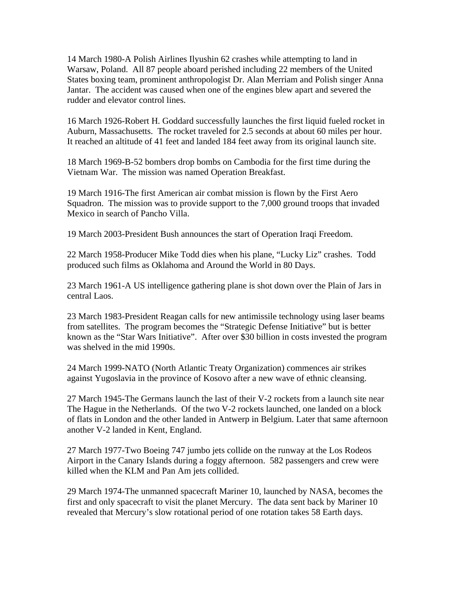14 March 1980-A Polish Airlines Ilyushin 62 crashes while attempting to land in Warsaw, Poland. All 87 people aboard perished including 22 members of the United States boxing team, prominent anthropologist Dr. Alan Merriam and Polish singer Anna Jantar. The accident was caused when one of the engines blew apart and severed the rudder and elevator control lines.

16 March 1926-Robert H. Goddard successfully launches the first liquid fueled rocket in Auburn, Massachusetts. The rocket traveled for 2.5 seconds at about 60 miles per hour. It reached an altitude of 41 feet and landed 184 feet away from its original launch site.

18 March 1969-B-52 bombers drop bombs on Cambodia for the first time during the Vietnam War. The mission was named Operation Breakfast.

19 March 1916-The first American air combat mission is flown by the First Aero Squadron. The mission was to provide support to the 7,000 ground troops that invaded Mexico in search of Pancho Villa.

19 March 2003-President Bush announces the start of Operation Iraqi Freedom.

22 March 1958-Producer Mike Todd dies when his plane, "Lucky Liz" crashes. Todd produced such films as Oklahoma and Around the World in 80 Days.

23 March 1961-A US intelligence gathering plane is shot down over the Plain of Jars in central Laos.

23 March 1983-President Reagan calls for new antimissile technology using laser beams from satellites. The program becomes the "Strategic Defense Initiative" but is better known as the "Star Wars Initiative". After over \$30 billion in costs invested the program was shelved in the mid 1990s.

24 March 1999-NATO (North Atlantic Treaty Organization) commences air strikes against Yugoslavia in the province of Kosovo after a new wave of ethnic cleansing.

27 March 1945-The Germans launch the last of their V-2 rockets from a launch site near The Hague in the Netherlands. Of the two V-2 rockets launched, one landed on a block of flats in London and the other landed in Antwerp in Belgium. Later that same afternoon another V-2 landed in Kent, England.

27 March 1977-Two Boeing 747 jumbo jets collide on the runway at the Los Rodeos Airport in the Canary Islands during a foggy afternoon. 582 passengers and crew were killed when the KLM and Pan Am jets collided.

29 March 1974-The unmanned spacecraft Mariner 10, launched by NASA, becomes the first and only spacecraft to visit the planet Mercury. The data sent back by Mariner 10 revealed that Mercury's slow rotational period of one rotation takes 58 Earth days.